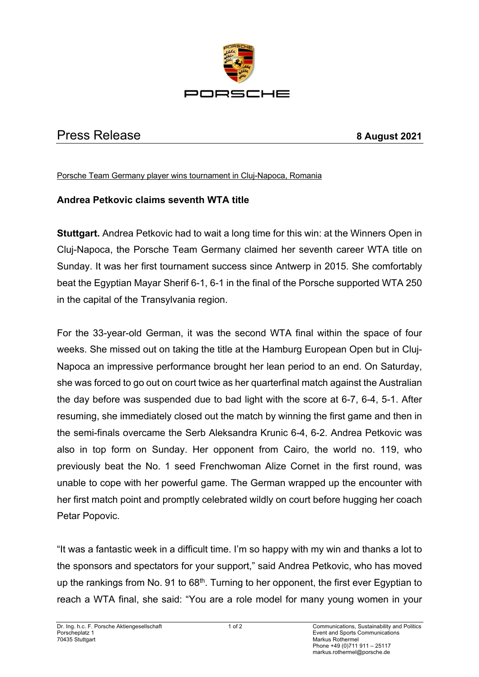

## Press Release **8 August 2021**

Porsche Team Germany player wins tournament in Cluj-Napoca, Romania

## **Andrea Petkovic claims seventh WTA title**

**Stuttgart.** Andrea Petkovic had to wait a long time for this win: at the Winners Open in Cluj-Napoca, the Porsche Team Germany claimed her seventh career WTA title on Sunday. It was her first tournament success since Antwerp in 2015. She comfortably beat the Egyptian Mayar Sherif 6-1, 6-1 in the final of the Porsche supported WTA 250 in the capital of the Transylvania region.

For the 33-year-old German, it was the second WTA final within the space of four weeks. She missed out on taking the title at the Hamburg European Open but in Cluj-Napoca an impressive performance brought her lean period to an end. On Saturday, she was forced to go out on court twice as her quarterfinal match against the Australian the day before was suspended due to bad light with the score at 6-7, 6-4, 5-1. After resuming, she immediately closed out the match by winning the first game and then in the semi-finals overcame the Serb Aleksandra Krunic 6-4, 6-2. Andrea Petkovic was also in top form on Sunday. Her opponent from Cairo, the world no. 119, who previously beat the No. 1 seed Frenchwoman Alize Cornet in the first round, was unable to cope with her powerful game. The German wrapped up the encounter with her first match point and promptly celebrated wildly on court before hugging her coach Petar Popovic.

"It was a fantastic week in a difficult time. I'm so happy with my win and thanks a lot to the sponsors and spectators for your support," said Andrea Petkovic, who has moved up the rankings from No. 91 to  $68<sup>th</sup>$ . Turning to her opponent, the first ever Egyptian to reach a WTA final, she said: "You are a role model for many young women in your